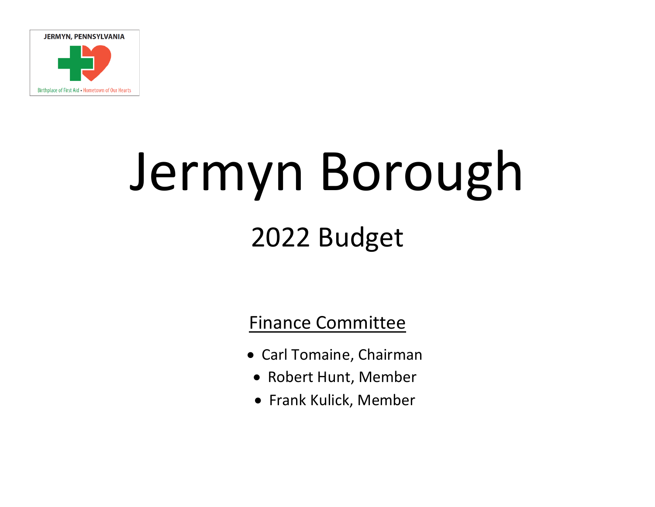

# Jermyn Borough 2022 Budget

Finance Committee

- Carl Tomaine, Chairman
- Robert Hunt, Member
- Frank Kulick, Member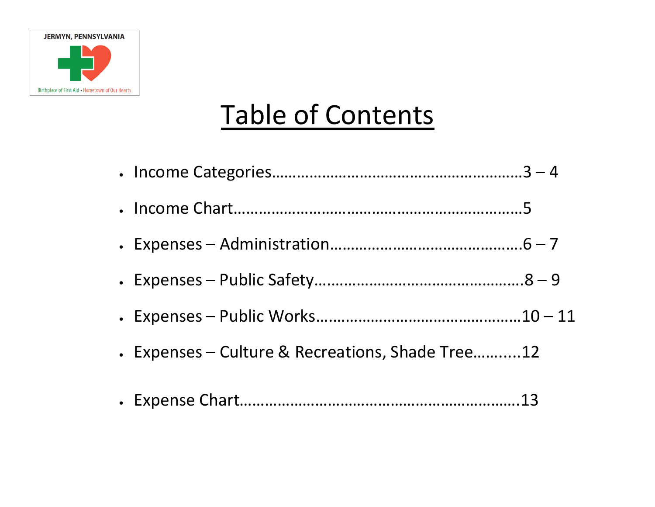

### Table of Contents

| • Expenses – Culture & Recreations, Shade Tree12 |  |
|--------------------------------------------------|--|
|                                                  |  |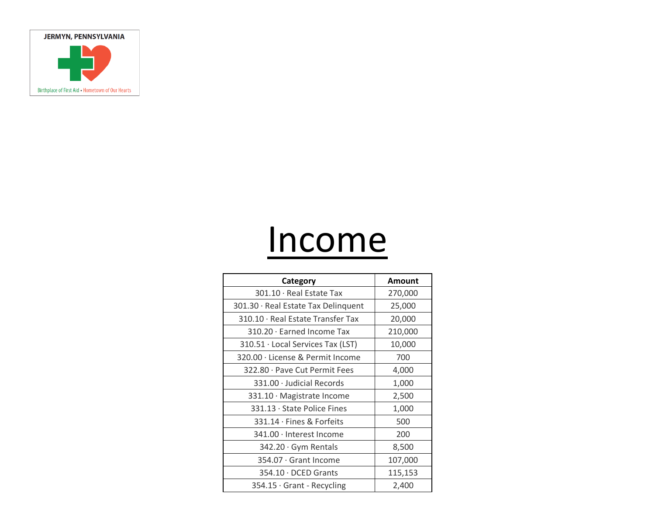

## Income

| Category                                  | Amount  |
|-------------------------------------------|---------|
| 301.10 · Real Estate Tax                  | 270,000 |
| $301.30 \cdot$ Real Estate Tax Delinquent | 25,000  |
| 310.10 · Real Estate Transfer Tax         | 20,000  |
| 310.20 · Earned Income Tax                | 210,000 |
| 310.51 · Local Services Tax (LST)         | 10,000  |
| 320.00 · License & Permit Income          | 700     |
| 322.80 · Pave Cut Permit Fees             | 4,000   |
| 331.00 Judicial Records                   | 1,000   |
| 331.10 · Magistrate Income                | 2,500   |
| $331.13 \cdot$ State Police Fines         | 1,000   |
| $331.14 \cdot$ Fines & Forfeits           | 500     |
| 341.00 · Interest Income                  | 200     |
| 342.20 · Gym Rentals                      | 8,500   |
| 354.07 · Grant Income                     | 107,000 |
| 354.10 · DCED Grants                      | 115,153 |
| $354.15 \cdot$ Grant - Recycling          | 2,400   |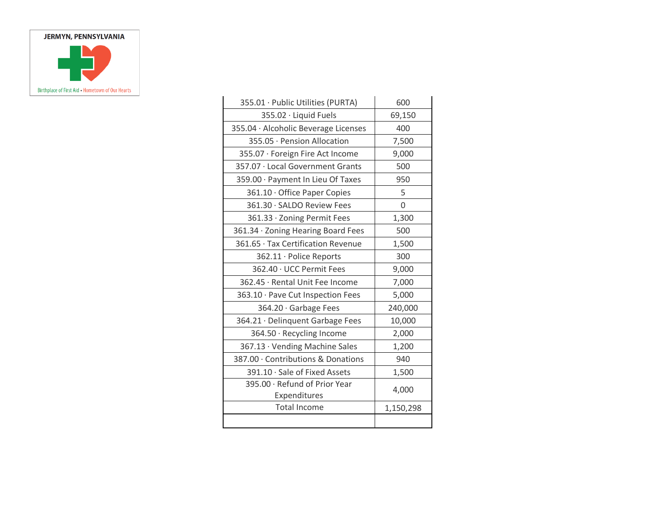| 355.01 · Public Utilities (PURTA)             | 600       |
|-----------------------------------------------|-----------|
| 355.02 · Liquid Fuels                         | 69,150    |
| 355.04 · Alcoholic Beverage Licenses          | 400       |
| 355.05 · Pension Allocation                   | 7,500     |
| 355.07 · Foreign Fire Act Income              | 9,000     |
| 357.07 · Local Government Grants              | 500       |
| 359.00 · Payment In Lieu Of Taxes             | 950       |
| 361.10 · Office Paper Copies                  | 5         |
| 361.30 · SALDO Review Fees                    | 0         |
| 361.33 · Zoning Permit Fees                   | 1,300     |
| 361.34 · Zoning Hearing Board Fees            | 500       |
| 361.65 · Tax Certification Revenue            | 1,500     |
| 362.11 · Police Reports                       | 300       |
| 362.40 · UCC Permit Fees                      | 9,000     |
| 362.45 · Rental Unit Fee Income               | 7,000     |
| 363.10 · Pave Cut Inspection Fees             | 5,000     |
| 364.20 · Garbage Fees                         | 240,000   |
| 364.21 · Delinquent Garbage Fees              | 10,000    |
| 364.50 · Recycling Income                     | 2,000     |
| 367.13 · Vending Machine Sales                | 1,200     |
| 387.00 · Contributions & Donations            | 940       |
| 391.10 · Sale of Fixed Assets                 | 1,500     |
| 395.00 · Refund of Prior Year<br>Expenditures | 4,000     |
| <b>Total Income</b>                           | 1,150,298 |
|                                               |           |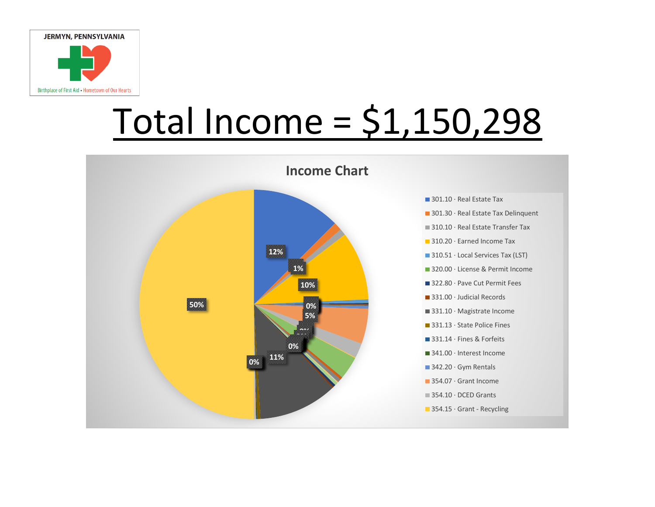

## Total Income = \$1,150,298

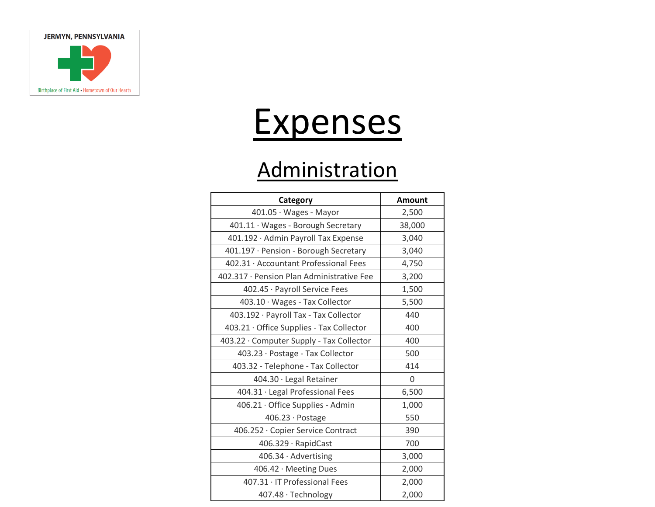

#### Administration

| Category                                  | <b>Amount</b> |
|-------------------------------------------|---------------|
| 401.05 · Wages - Mayor                    | 2,500         |
| 401.11 · Wages - Borough Secretary        | 38,000        |
| 401.192 · Admin Payroll Tax Expense       | 3,040         |
| 401.197 · Pension - Borough Secretary     | 3,040         |
| 402.31 Accountant Professional Fees       | 4,750         |
| 402.317 · Pension Plan Administrative Fee | 3,200         |
| 402.45 · Payroll Service Fees             | 1,500         |
| 403.10 · Wages - Tax Collector            | 5,500         |
| 403.192 · Payroll Tax - Tax Collector     | 440           |
| 403.21 · Office Supplies - Tax Collector  | 400           |
| 403.22 · Computer Supply - Tax Collector  | 400           |
| 403.23 · Postage - Tax Collector          | 500           |
| 403.32 - Telephone - Tax Collector        | 414           |
| 404.30 · Legal Retainer                   | 0             |
| 404.31 · Legal Professional Fees          | 6,500         |
| 406.21 · Office Supplies - Admin          | 1,000         |
| 406.23 · Postage                          | 550           |
| 406.252 · Copier Service Contract         | 390           |
| 406.329 · RapidCast                       | 700           |
| 406.34 · Advertising                      | 3,000         |
| 406.42 · Meeting Dues                     | 2,000         |
| 407.31 · IT Professional Fees             | 2,000         |
| 407.48 · Technology                       | 2,000         |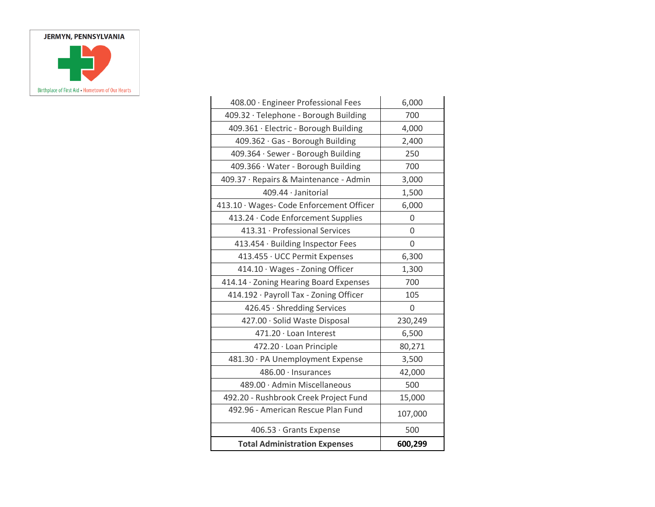| 408.00 · Engineer Professional Fees      | 6,000       |
|------------------------------------------|-------------|
| 409.32 · Telephone - Borough Building    | 700         |
| 409.361 · Electric - Borough Building    | 4,000       |
| 409.362 · Gas - Borough Building         | 2,400       |
| 409.364 · Sewer - Borough Building       | 250         |
| 409.366 · Water - Borough Building       | 700         |
| 409.37 · Repairs & Maintenance - Admin   | 3,000       |
| 409.44 · Janitorial                      | 1,500       |
| 413.10 · Wages- Code Enforcement Officer | 6,000       |
| 413.24 · Code Enforcement Supplies       | 0           |
| 413.31 · Professional Services           | 0           |
| 413.454 · Building Inspector Fees        | $\mathbf 0$ |
| 413.455 · UCC Permit Expenses            | 6,300       |
| 414.10 · Wages - Zoning Officer          | 1,300       |
| 414.14 · Zoning Hearing Board Expenses   | 700         |
| 414.192 · Payroll Tax - Zoning Officer   | 105         |
| 426.45 · Shredding Services              | 0           |
| 427.00 · Solid Waste Disposal            | 230,249     |
| 471.20 · Loan Interest                   | 6,500       |
| 472.20 · Loan Principle                  | 80,271      |
| 481.30 · PA Unemployment Expense         | 3,500       |
| 486.00 · Insurances                      | 42,000      |
| 489.00 · Admin Miscellaneous             | 500         |
| 492.20 - Rushbrook Creek Project Fund    | 15,000      |
| 492.96 - American Rescue Plan Fund       | 107,000     |
| 406.53 · Grants Expense                  | 500         |
| <b>Total Administration Expenses</b>     | 600,299     |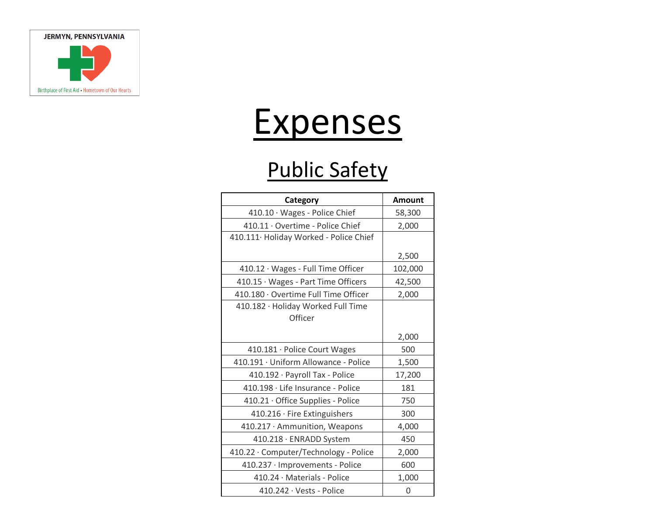

#### Public Safety

| Category                                      | <b>Amount</b> |
|-----------------------------------------------|---------------|
| 410.10 · Wages - Police Chief                 | 58,300        |
| 410.11 · Overtime - Police Chief              | 2,000         |
| 410.111 · Holiday Worked - Police Chief       |               |
|                                               | 2,500         |
| 410.12 · Wages - Full Time Officer            | 102,000       |
| 410.15 · Wages - Part Time Officers           | 42,500        |
| 410.180 · Overtime Full Time Officer          | 2,000         |
| 410.182 · Holiday Worked Full Time<br>Officer |               |
|                                               | 2,000         |
| 410.181 · Police Court Wages                  | 500           |
| 410.191 · Uniform Allowance - Police          | 1,500         |
| 410.192 · Payroll Tax - Police                | 17,200        |
| 410.198 · Life Insurance - Police             | 181           |
| 410.21 · Office Supplies - Police             | 750           |
| 410.216 · Fire Extinguishers                  | 300           |
| 410.217 · Ammunition, Weapons                 | 4,000         |
| 410.218 · ENRADD System                       | 450           |
| 410.22 · Computer/Technology - Police         | 2,000         |
| 410.237 · Improvements - Police               | 600           |
| 410.24 · Materials - Police                   | 1,000         |
| $410.242 \cdot Vests$ - Police                | 0             |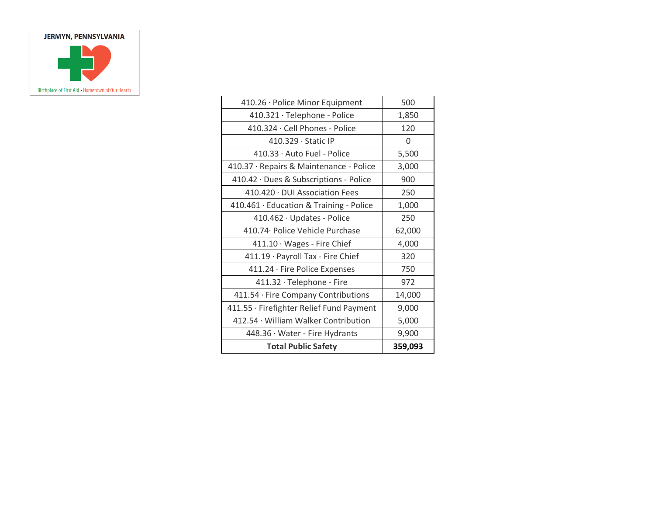| 410.26 · Police Minor Equipment          | 500     |
|------------------------------------------|---------|
| 410.321 · Telephone - Police             | 1,850   |
| 410.324 · Cell Phones - Police           | 120     |
| 410.329 · Static IP                      | 0       |
| 410.33 · Auto Fuel - Police              | 5,500   |
| 410.37 · Repairs & Maintenance - Police  | 3,000   |
| 410.42 · Dues & Subscriptions - Police   | 900     |
| 410.420 · DUI Association Fees           | 250     |
| 410.461 · Education & Training - Police  | 1,000   |
| 410.462 · Updates - Police               | 250     |
| 410.74 Police Vehicle Purchase           | 62,000  |
| 411.10 · Wages - Fire Chief              | 4,000   |
| 411.19 · Payroll Tax - Fire Chief        | 320     |
| 411.24 · Fire Police Expenses            | 750     |
| 411.32 · Telephone - Fire                | 972     |
| 411.54 · Fire Company Contributions      | 14,000  |
| 411.55 · Firefighter Relief Fund Payment | 9,000   |
| 412.54 · William Walker Contribution     | 5,000   |
| 448.36 · Water - Fire Hydrants           | 9,900   |
| <b>Total Public Safety</b>               | 359,093 |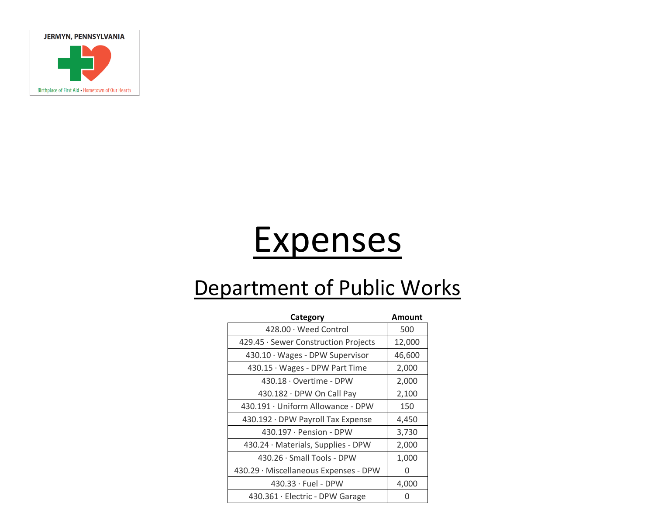

#### Department of Public Works

| Category                                 | Amount |
|------------------------------------------|--------|
| 428.00 · Weed Control                    | 500    |
| 429.45 · Sewer Construction Projects     | 12,000 |
| 430.10 · Wages - DPW Supervisor          | 46,600 |
| 430.15 · Wages - DPW Part Time           | 2,000  |
| 430.18 · Overtime - DPW                  | 2,000  |
| 430.182 · DPW On Call Pay                | 2,100  |
| 430.191 · Uniform Allowance - DPW        | 150    |
| 430.192 · DPW Payroll Tax Expense        | 4,450  |
| $430.197 \cdot$ Pension - DPW            | 3,730  |
| $430.24 \cdot$ Materials, Supplies - DPW | 2,000  |
| $430.26 \cdot$ Small Tools - DPW         | 1,000  |
| 430.29 · Miscellaneous Expenses - DPW    | 0      |
| $430.33 \cdot$ Fuel - DPW                | 4,000  |
| 430.361 · Electric - DPW Garage          |        |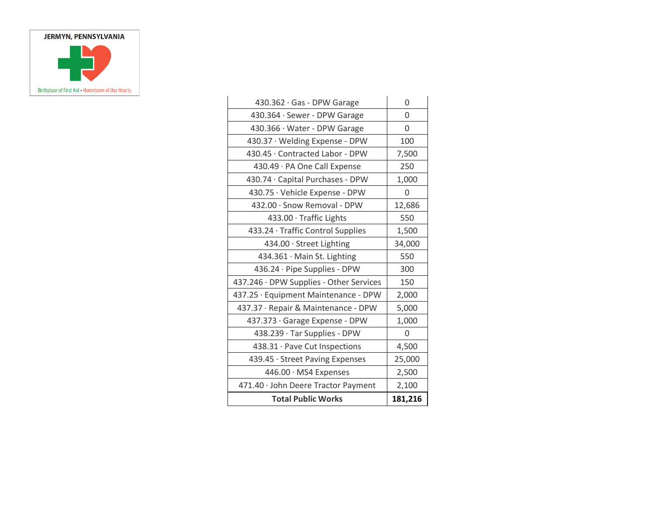| 430.362 · Gas - DPW Garage              | 0       |
|-----------------------------------------|---------|
| 430.364 · Sewer - DPW Garage            | 0       |
| 430.366 · Water - DPW Garage            | 0       |
| 430.37 · Welding Expense - DPW          | 100     |
| 430.45 · Contracted Labor - DPW         | 7,500   |
| 430.49 · PA One Call Expense            | 250     |
| 430.74 · Capital Purchases - DPW        | 1,000   |
| 430.75 · Vehicle Expense - DPW          | 0       |
| 432.00 · Snow Removal - DPW             | 12,686  |
| 433.00 · Traffic Lights                 | 550     |
| 433.24 · Traffic Control Supplies       | 1,500   |
| 434.00 · Street Lighting                | 34,000  |
| 434.361 · Main St. Lighting             | 550     |
| 436.24 · Pipe Supplies - DPW            | 300     |
| 437.246 · DPW Supplies - Other Services | 150     |
| 437.25 · Equipment Maintenance - DPW    | 2,000   |
| 437.37 · Repair & Maintenance - DPW     | 5,000   |
| 437.373 · Garage Expense - DPW          | 1,000   |
| 438.239 · Tar Supplies - DPW            | 0       |
| 438.31 · Pave Cut Inspections           | 4,500   |
| 439.45 · Street Paving Expenses         | 25,000  |
| 446.00 · MS4 Expenses                   | 2,500   |
| 471.40 · John Deere Tractor Payment     | 2,100   |
| <b>Total Public Works</b>               | 181,216 |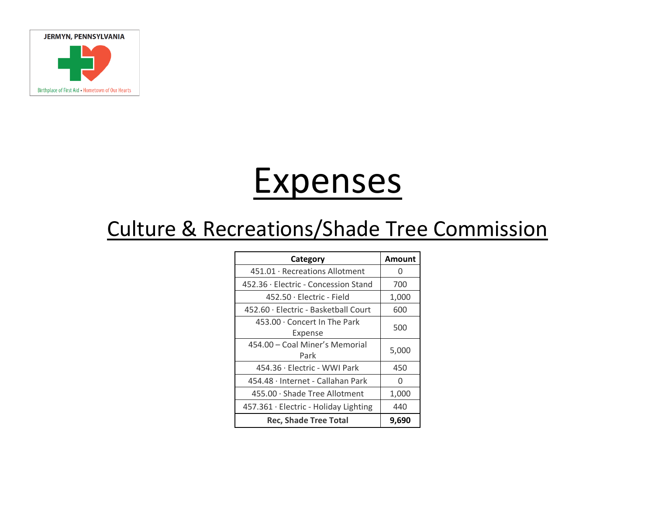

#### Culture & Recreations/Shade Tree Commission

| Category                                | Amount |
|-----------------------------------------|--------|
| 451.01 · Recreations Allotment          | 0      |
| 452.36 · Electric - Concession Stand    | 700    |
| $452.50 \cdot$ Electric - Field         | 1,000  |
| 452.60 · Electric - Basketball Court    | 600    |
| 453.00 · Concert In The Park<br>Expense | 500    |
| 454.00 - Coal Miner's Memorial<br>Park  | 5,000  |
| 454.36 · Electric - WWI Park            | 450    |
| 454.48 · Internet - Callahan Park       | O      |
| 455.00 · Shade Tree Allotment           | 1,000  |
| 457.361 · Electric - Holiday Lighting   | 440    |
| <b>Rec, Shade Tree Total</b>            | 9,690  |